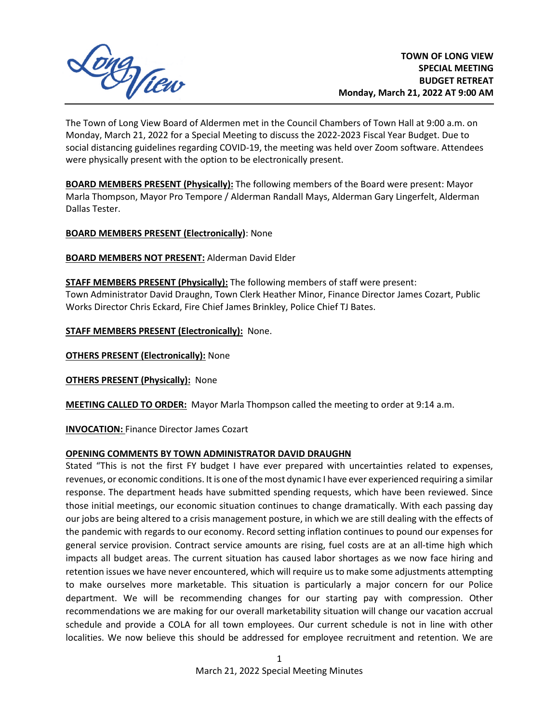

The Town of Long View Board of Aldermen met in the Council Chambers of Town Hall at 9:00 a.m. on Monday, March 21, 2022 for a Special Meeting to discuss the 2022-2023 Fiscal Year Budget. Due to social distancing guidelines regarding COVID-19, the meeting was held over Zoom software. Attendees were physically present with the option to be electronically present.

**BOARD MEMBERS PRESENT (Physically):** The following members of the Board were present: Mayor Marla Thompson, Mayor Pro Tempore / Alderman Randall Mays, Alderman Gary Lingerfelt, Alderman Dallas Tester.

**BOARD MEMBERS PRESENT (Electronically)**: None

**BOARD MEMBERS NOT PRESENT:** Alderman David Elder

**STAFF MEMBERS PRESENT (Physically):** The following members of staff were present: Town Administrator David Draughn, Town Clerk Heather Minor, Finance Director James Cozart, Public Works Director Chris Eckard, Fire Chief James Brinkley, Police Chief TJ Bates.

**STAFF MEMBERS PRESENT (Electronically):** None.

**OTHERS PRESENT (Electronically): None** 

**OTHERS PRESENT (Physically): None** 

**MEETING CALLED TO ORDER:** Mayor Marla Thompson called the meeting to order at 9:14 a.m.

**INVOCATION:** Finance Director James Cozart

## **OPENING COMMENTS BY TOWN ADMINISTRATOR DAVID DRAUGHN**

Stated "This is not the first FY budget I have ever prepared with uncertainties related to expenses, revenues, or economic conditions. It is one of the most dynamic I have ever experienced requiring a similar response. The department heads have submitted spending requests, which have been reviewed. Since those initial meetings, our economic situation continues to change dramatically. With each passing day our jobs are being altered to a crisis management posture, in which we are still dealing with the effects of the pandemic with regards to our economy. Record setting inflation continues to pound our expenses for general service provision. Contract service amounts are rising, fuel costs are at an all-time high which impacts all budget areas. The current situation has caused labor shortages as we now face hiring and retention issues we have never encountered, which will require us to make some adjustments attempting to make ourselves more marketable. This situation is particularly a major concern for our Police department. We will be recommending changes for our starting pay with compression. Other recommendations we are making for our overall marketability situation will change our vacation accrual schedule and provide a COLA for all town employees. Our current schedule is not in line with other localities. We now believe this should be addressed for employee recruitment and retention. We are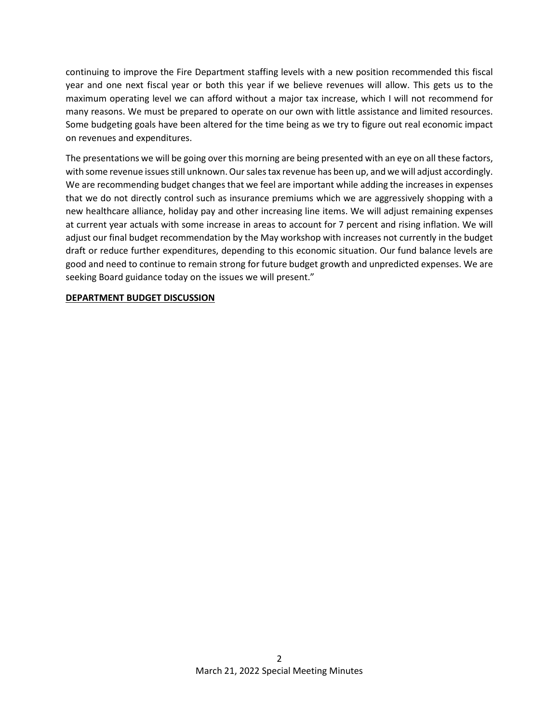continuing to improve the Fire Department staffing levels with a new position recommended this fiscal year and one next fiscal year or both this year if we believe revenues will allow. This gets us to the maximum operating level we can afford without a major tax increase, which I will not recommend for many reasons. We must be prepared to operate on our own with little assistance and limited resources. Some budgeting goals have been altered for the time being as we try to figure out real economic impact on revenues and expenditures.

The presentations we will be going over this morning are being presented with an eye on all these factors, with some revenue issues still unknown. Our sales tax revenue has been up, and we will adjust accordingly. We are recommending budget changes that we feel are important while adding the increases in expenses that we do not directly control such as insurance premiums which we are aggressively shopping with a new healthcare alliance, holiday pay and other increasing line items. We will adjust remaining expenses at current year actuals with some increase in areas to account for 7 percent and rising inflation. We will adjust our final budget recommendation by the May workshop with increases not currently in the budget draft or reduce further expenditures, depending to this economic situation. Our fund balance levels are good and need to continue to remain strong for future budget growth and unpredicted expenses. We are seeking Board guidance today on the issues we will present."

## **DEPARTMENT BUDGET DISCUSSION**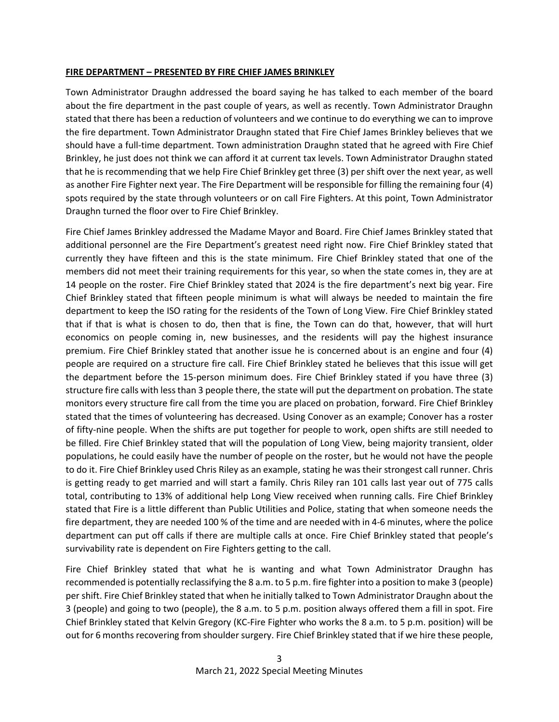#### **FIRE DEPARTMENT – PRESENTED BY FIRE CHIEF JAMES BRINKLEY**

Town Administrator Draughn addressed the board saying he has talked to each member of the board about the fire department in the past couple of years, as well as recently. Town Administrator Draughn stated that there has been a reduction of volunteers and we continue to do everything we can to improve the fire department. Town Administrator Draughn stated that Fire Chief James Brinkley believes that we should have a full-time department. Town administration Draughn stated that he agreed with Fire Chief Brinkley, he just does not think we can afford it at current tax levels. Town Administrator Draughn stated that he is recommending that we help Fire Chief Brinkley get three (3) per shift over the next year, as well as another Fire Fighter next year. The Fire Department will be responsible for filling the remaining four (4) spots required by the state through volunteers or on call Fire Fighters. At this point, Town Administrator Draughn turned the floor over to Fire Chief Brinkley.

Fire Chief James Brinkley addressed the Madame Mayor and Board. Fire Chief James Brinkley stated that additional personnel are the Fire Department's greatest need right now. Fire Chief Brinkley stated that currently they have fifteen and this is the state minimum. Fire Chief Brinkley stated that one of the members did not meet their training requirements for this year, so when the state comes in, they are at 14 people on the roster. Fire Chief Brinkley stated that 2024 is the fire department's next big year. Fire Chief Brinkley stated that fifteen people minimum is what will always be needed to maintain the fire department to keep the ISO rating for the residents of the Town of Long View. Fire Chief Brinkley stated that if that is what is chosen to do, then that is fine, the Town can do that, however, that will hurt economics on people coming in, new businesses, and the residents will pay the highest insurance premium. Fire Chief Brinkley stated that another issue he is concerned about is an engine and four (4) people are required on a structure fire call. Fire Chief Brinkley stated he believes that this issue will get the department before the 15-person minimum does. Fire Chief Brinkley stated if you have three (3) structure fire calls with less than 3 people there, the state will put the department on probation. The state monitors every structure fire call from the time you are placed on probation, forward. Fire Chief Brinkley stated that the times of volunteering has decreased. Using Conover as an example; Conover has a roster of fifty-nine people. When the shifts are put together for people to work, open shifts are still needed to be filled. Fire Chief Brinkley stated that will the population of Long View, being majority transient, older populations, he could easily have the number of people on the roster, but he would not have the people to do it. Fire Chief Brinkley used Chris Riley as an example, stating he was their strongest call runner. Chris is getting ready to get married and will start a family. Chris Riley ran 101 calls last year out of 775 calls total, contributing to 13% of additional help Long View received when running calls. Fire Chief Brinkley stated that Fire is a little different than Public Utilities and Police, stating that when someone needs the fire department, they are needed 100 % of the time and are needed with in 4-6 minutes, where the police department can put off calls if there are multiple calls at once. Fire Chief Brinkley stated that people's survivability rate is dependent on Fire Fighters getting to the call.

Fire Chief Brinkley stated that what he is wanting and what Town Administrator Draughn has recommended is potentially reclassifying the 8 a.m. to 5 p.m. fire fighter into a position to make 3 (people) per shift. Fire Chief Brinkley stated that when he initially talked to Town Administrator Draughn about the 3 (people) and going to two (people), the 8 a.m. to 5 p.m. position always offered them a fill in spot. Fire Chief Brinkley stated that Kelvin Gregory (KC-Fire Fighter who works the 8 a.m. to 5 p.m. position) will be out for 6 months recovering from shoulder surgery. Fire Chief Brinkley stated that if we hire these people,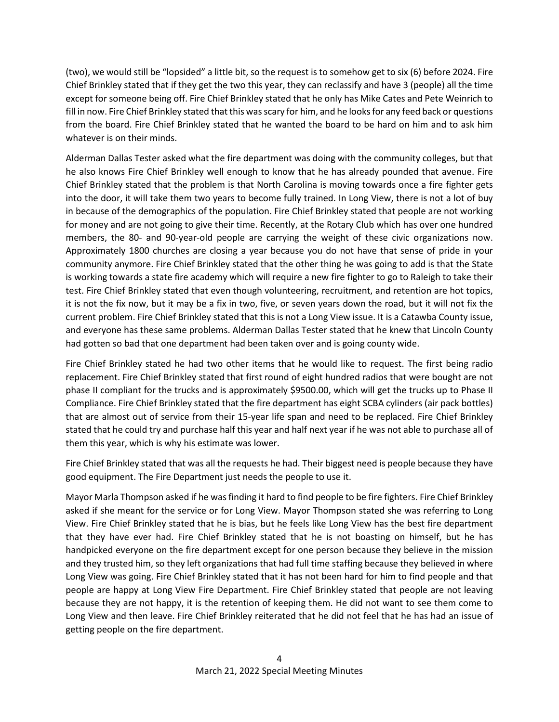(two), we would still be "lopsided" a little bit, so the request is to somehow get to six (6) before 2024. Fire Chief Brinkley stated that if they get the two this year, they can reclassify and have 3 (people) all the time except for someone being off. Fire Chief Brinkley stated that he only has Mike Cates and Pete Weinrich to fill in now. Fire Chief Brinkley stated that this was scary for him, and he looks for any feed back or questions from the board. Fire Chief Brinkley stated that he wanted the board to be hard on him and to ask him whatever is on their minds.

Alderman Dallas Tester asked what the fire department was doing with the community colleges, but that he also knows Fire Chief Brinkley well enough to know that he has already pounded that avenue. Fire Chief Brinkley stated that the problem is that North Carolina is moving towards once a fire fighter gets into the door, it will take them two years to become fully trained. In Long View, there is not a lot of buy in because of the demographics of the population. Fire Chief Brinkley stated that people are not working for money and are not going to give their time. Recently, at the Rotary Club which has over one hundred members, the 80- and 90-year-old people are carrying the weight of these civic organizations now. Approximately 1800 churches are closing a year because you do not have that sense of pride in your community anymore. Fire Chief Brinkley stated that the other thing he was going to add is that the State is working towards a state fire academy which will require a new fire fighter to go to Raleigh to take their test. Fire Chief Brinkley stated that even though volunteering, recruitment, and retention are hot topics, it is not the fix now, but it may be a fix in two, five, or seven years down the road, but it will not fix the current problem. Fire Chief Brinkley stated that this is not a Long View issue. It is a Catawba County issue, and everyone has these same problems. Alderman Dallas Tester stated that he knew that Lincoln County had gotten so bad that one department had been taken over and is going county wide.

Fire Chief Brinkley stated he had two other items that he would like to request. The first being radio replacement. Fire Chief Brinkley stated that first round of eight hundred radios that were bought are not phase II compliant for the trucks and is approximately \$9500.00, which will get the trucks up to Phase II Compliance. Fire Chief Brinkley stated that the fire department has eight SCBA cylinders (air pack bottles) that are almost out of service from their 15-year life span and need to be replaced. Fire Chief Brinkley stated that he could try and purchase half this year and half next year if he was not able to purchase all of them this year, which is why his estimate was lower.

Fire Chief Brinkley stated that was all the requests he had. Their biggest need is people because they have good equipment. The Fire Department just needs the people to use it.

Mayor Marla Thompson asked if he was finding it hard to find people to be fire fighters. Fire Chief Brinkley asked if she meant for the service or for Long View. Mayor Thompson stated she was referring to Long View. Fire Chief Brinkley stated that he is bias, but he feels like Long View has the best fire department that they have ever had. Fire Chief Brinkley stated that he is not boasting on himself, but he has handpicked everyone on the fire department except for one person because they believe in the mission and they trusted him, so they left organizations that had full time staffing because they believed in where Long View was going. Fire Chief Brinkley stated that it has not been hard for him to find people and that people are happy at Long View Fire Department. Fire Chief Brinkley stated that people are not leaving because they are not happy, it is the retention of keeping them. He did not want to see them come to Long View and then leave. Fire Chief Brinkley reiterated that he did not feel that he has had an issue of getting people on the fire department.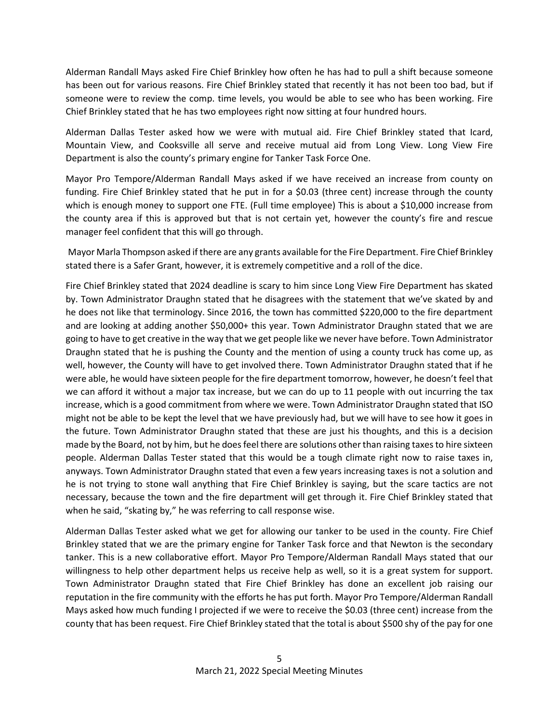Alderman Randall Mays asked Fire Chief Brinkley how often he has had to pull a shift because someone has been out for various reasons. Fire Chief Brinkley stated that recently it has not been too bad, but if someone were to review the comp. time levels, you would be able to see who has been working. Fire Chief Brinkley stated that he has two employees right now sitting at four hundred hours.

Alderman Dallas Tester asked how we were with mutual aid. Fire Chief Brinkley stated that Icard, Mountain View, and Cooksville all serve and receive mutual aid from Long View. Long View Fire Department is also the county's primary engine for Tanker Task Force One.

Mayor Pro Tempore/Alderman Randall Mays asked if we have received an increase from county on funding. Fire Chief Brinkley stated that he put in for a \$0.03 (three cent) increase through the county which is enough money to support one FTE. (Full time employee) This is about a \$10,000 increase from the county area if this is approved but that is not certain yet, however the county's fire and rescue manager feel confident that this will go through.

Mayor Marla Thompson asked if there are any grants available for the Fire Department. Fire Chief Brinkley stated there is a Safer Grant, however, it is extremely competitive and a roll of the dice.

Fire Chief Brinkley stated that 2024 deadline is scary to him since Long View Fire Department has skated by. Town Administrator Draughn stated that he disagrees with the statement that we've skated by and he does not like that terminology. Since 2016, the town has committed \$220,000 to the fire department and are looking at adding another \$50,000+ this year. Town Administrator Draughn stated that we are going to have to get creative in the way that we get people like we never have before. Town Administrator Draughn stated that he is pushing the County and the mention of using a county truck has come up, as well, however, the County will have to get involved there. Town Administrator Draughn stated that if he were able, he would have sixteen people for the fire department tomorrow, however, he doesn't feel that we can afford it without a major tax increase, but we can do up to 11 people with out incurring the tax increase, which is a good commitment from where we were. Town Administrator Draughn stated that ISO might not be able to be kept the level that we have previously had, but we will have to see how it goes in the future. Town Administrator Draughn stated that these are just his thoughts, and this is a decision made by the Board, not by him, but he does feel there are solutions other than raising taxes to hire sixteen people. Alderman Dallas Tester stated that this would be a tough climate right now to raise taxes in, anyways. Town Administrator Draughn stated that even a few years increasing taxes is not a solution and he is not trying to stone wall anything that Fire Chief Brinkley is saying, but the scare tactics are not necessary, because the town and the fire department will get through it. Fire Chief Brinkley stated that when he said, "skating by," he was referring to call response wise.

Alderman Dallas Tester asked what we get for allowing our tanker to be used in the county. Fire Chief Brinkley stated that we are the primary engine for Tanker Task force and that Newton is the secondary tanker. This is a new collaborative effort. Mayor Pro Tempore/Alderman Randall Mays stated that our willingness to help other department helps us receive help as well, so it is a great system for support. Town Administrator Draughn stated that Fire Chief Brinkley has done an excellent job raising our reputation in the fire community with the efforts he has put forth. Mayor Pro Tempore/Alderman Randall Mays asked how much funding I projected if we were to receive the \$0.03 (three cent) increase from the county that has been request. Fire Chief Brinkley stated that the total is about \$500 shy of the pay for one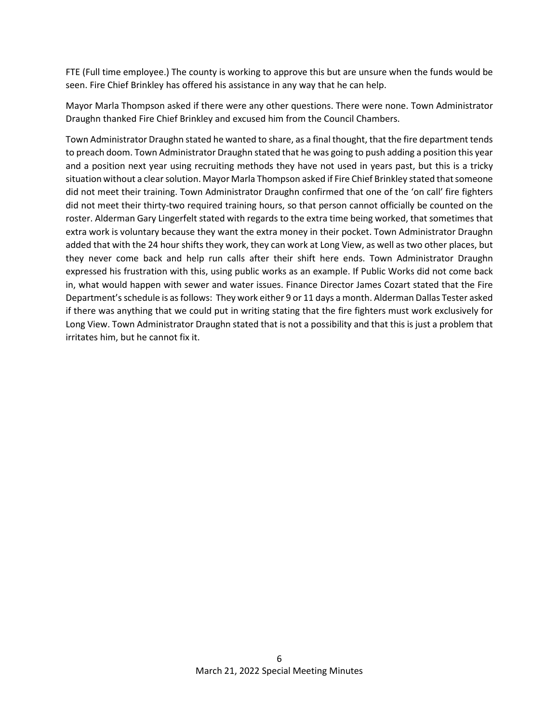FTE (Full time employee.) The county is working to approve this but are unsure when the funds would be seen. Fire Chief Brinkley has offered his assistance in any way that he can help.

Mayor Marla Thompson asked if there were any other questions. There were none. Town Administrator Draughn thanked Fire Chief Brinkley and excused him from the Council Chambers.

Town Administrator Draughn stated he wanted to share, as a final thought, that the fire department tends to preach doom. Town Administrator Draughn stated that he was going to push adding a position this year and a position next year using recruiting methods they have not used in years past, but this is a tricky situation without a clear solution. Mayor Marla Thompson asked if Fire Chief Brinkley stated that someone did not meet their training. Town Administrator Draughn confirmed that one of the 'on call' fire fighters did not meet their thirty-two required training hours, so that person cannot officially be counted on the roster. Alderman Gary Lingerfelt stated with regards to the extra time being worked, that sometimes that extra work is voluntary because they want the extra money in their pocket. Town Administrator Draughn added that with the 24 hour shifts they work, they can work at Long View, as well as two other places, but they never come back and help run calls after their shift here ends. Town Administrator Draughn expressed his frustration with this, using public works as an example. If Public Works did not come back in, what would happen with sewer and water issues. Finance Director James Cozart stated that the Fire Department's schedule is as follows: They work either 9 or 11 days a month. Alderman Dallas Tester asked if there was anything that we could put in writing stating that the fire fighters must work exclusively for Long View. Town Administrator Draughn stated that is not a possibility and that this is just a problem that irritates him, but he cannot fix it.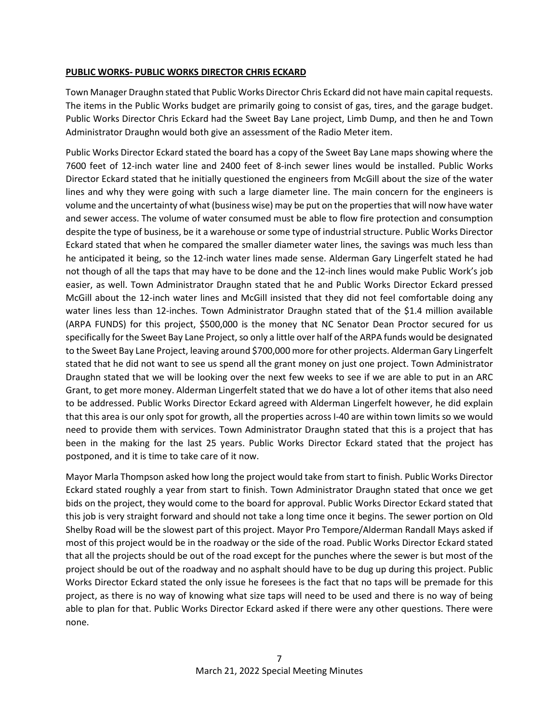## **PUBLIC WORKS- PUBLIC WORKS DIRECTOR CHRIS ECKARD**

Town Manager Draughn stated that Public Works Director Chris Eckard did not have main capital requests. The items in the Public Works budget are primarily going to consist of gas, tires, and the garage budget. Public Works Director Chris Eckard had the Sweet Bay Lane project, Limb Dump, and then he and Town Administrator Draughn would both give an assessment of the Radio Meter item.

Public Works Director Eckard stated the board has a copy of the Sweet Bay Lane maps showing where the 7600 feet of 12-inch water line and 2400 feet of 8-inch sewer lines would be installed. Public Works Director Eckard stated that he initially questioned the engineers from McGill about the size of the water lines and why they were going with such a large diameter line. The main concern for the engineers is volume and the uncertainty of what (business wise) may be put on the properties that will now have water and sewer access. The volume of water consumed must be able to flow fire protection and consumption despite the type of business, be it a warehouse or some type of industrial structure. Public Works Director Eckard stated that when he compared the smaller diameter water lines, the savings was much less than he anticipated it being, so the 12-inch water lines made sense. Alderman Gary Lingerfelt stated he had not though of all the taps that may have to be done and the 12-inch lines would make Public Work's job easier, as well. Town Administrator Draughn stated that he and Public Works Director Eckard pressed McGill about the 12-inch water lines and McGill insisted that they did not feel comfortable doing any water lines less than 12-inches. Town Administrator Draughn stated that of the \$1.4 million available (ARPA FUNDS) for this project, \$500,000 is the money that NC Senator Dean Proctor secured for us specifically for the Sweet Bay Lane Project, so only a little over half of the ARPA funds would be designated to the Sweet Bay Lane Project, leaving around \$700,000 more for other projects. Alderman Gary Lingerfelt stated that he did not want to see us spend all the grant money on just one project. Town Administrator Draughn stated that we will be looking over the next few weeks to see if we are able to put in an ARC Grant, to get more money. Alderman Lingerfelt stated that we do have a lot of other items that also need to be addressed. Public Works Director Eckard agreed with Alderman Lingerfelt however, he did explain that this area is our only spot for growth, all the properties across I-40 are within town limits so we would need to provide them with services. Town Administrator Draughn stated that this is a project that has been in the making for the last 25 years. Public Works Director Eckard stated that the project has postponed, and it is time to take care of it now.

Mayor Marla Thompson asked how long the project would take from start to finish. Public Works Director Eckard stated roughly a year from start to finish. Town Administrator Draughn stated that once we get bids on the project, they would come to the board for approval. Public Works Director Eckard stated that this job is very straight forward and should not take a long time once it begins. The sewer portion on Old Shelby Road will be the slowest part of this project. Mayor Pro Tempore/Alderman Randall Mays asked if most of this project would be in the roadway or the side of the road. Public Works Director Eckard stated that all the projects should be out of the road except for the punches where the sewer is but most of the project should be out of the roadway and no asphalt should have to be dug up during this project. Public Works Director Eckard stated the only issue he foresees is the fact that no taps will be premade for this project, as there is no way of knowing what size taps will need to be used and there is no way of being able to plan for that. Public Works Director Eckard asked if there were any other questions. There were none.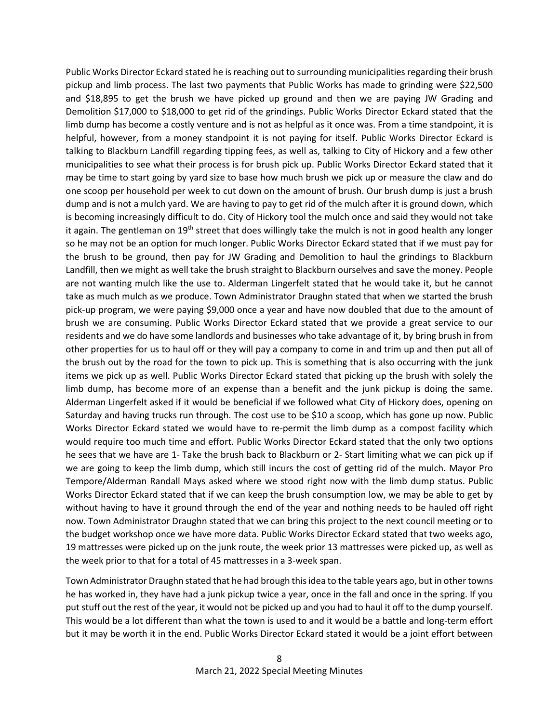Public Works Director Eckard stated he is reaching out to surrounding municipalities regarding their brush pickup and limb process. The last two payments that Public Works has made to grinding were \$22,500 and \$18,895 to get the brush we have picked up ground and then we are paying JW Grading and Demolition \$17,000 to \$18,000 to get rid of the grindings. Public Works Director Eckard stated that the limb dump has become a costly venture and is not as helpful as it once was. From a time standpoint, it is helpful, however, from a money standpoint it is not paying for itself. Public Works Director Eckard is talking to Blackburn Landfill regarding tipping fees, as well as, talking to City of Hickory and a few other municipalities to see what their process is for brush pick up. Public Works Director Eckard stated that it may be time to start going by yard size to base how much brush we pick up or measure the claw and do one scoop per household per week to cut down on the amount of brush. Our brush dump is just a brush dump and is not a mulch yard. We are having to pay to get rid of the mulch after it is ground down, which is becoming increasingly difficult to do. City of Hickory tool the mulch once and said they would not take it again. The gentleman on 19<sup>th</sup> street that does willingly take the mulch is not in good health any longer so he may not be an option for much longer. Public Works Director Eckard stated that if we must pay for the brush to be ground, then pay for JW Grading and Demolition to haul the grindings to Blackburn Landfill, then we might as well take the brush straight to Blackburn ourselves and save the money. People are not wanting mulch like the use to. Alderman Lingerfelt stated that he would take it, but he cannot take as much mulch as we produce. Town Administrator Draughn stated that when we started the brush pick-up program, we were paying \$9,000 once a year and have now doubled that due to the amount of brush we are consuming. Public Works Director Eckard stated that we provide a great service to our residents and we do have some landlords and businesses who take advantage of it, by bring brush in from other properties for us to haul off or they will pay a company to come in and trim up and then put all of the brush out by the road for the town to pick up. This is something that is also occurring with the junk items we pick up as well. Public Works Director Eckard stated that picking up the brush with solely the limb dump, has become more of an expense than a benefit and the junk pickup is doing the same. Alderman Lingerfelt asked if it would be beneficial if we followed what City of Hickory does, opening on Saturday and having trucks run through. The cost use to be \$10 a scoop, which has gone up now. Public Works Director Eckard stated we would have to re-permit the limb dump as a compost facility which would require too much time and effort. Public Works Director Eckard stated that the only two options he sees that we have are 1- Take the brush back to Blackburn or 2- Start limiting what we can pick up if we are going to keep the limb dump, which still incurs the cost of getting rid of the mulch. Mayor Pro Tempore/Alderman Randall Mays asked where we stood right now with the limb dump status. Public Works Director Eckard stated that if we can keep the brush consumption low, we may be able to get by without having to have it ground through the end of the year and nothing needs to be hauled off right now. Town Administrator Draughn stated that we can bring this project to the next council meeting or to the budget workshop once we have more data. Public Works Director Eckard stated that two weeks ago, 19 mattresses were picked up on the junk route, the week prior 13 mattresses were picked up, as well as the week prior to that for a total of 45 mattresses in a 3-week span.

Town Administrator Draughn stated that he had brough this idea to the table years ago, but in other towns he has worked in, they have had a junk pickup twice a year, once in the fall and once in the spring. If you put stuff out the rest of the year, it would not be picked up and you had to haul it off to the dump yourself. This would be a lot different than what the town is used to and it would be a battle and long-term effort but it may be worth it in the end. Public Works Director Eckard stated it would be a joint effort between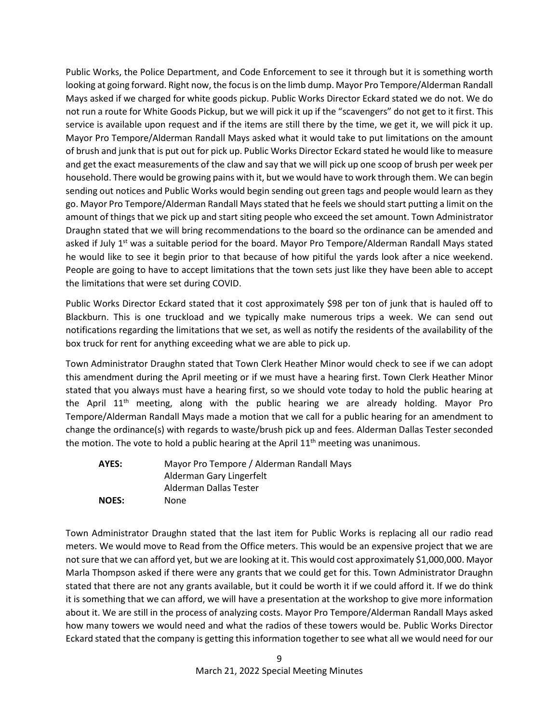Public Works, the Police Department, and Code Enforcement to see it through but it is something worth looking at going forward. Right now, the focusis on the limb dump. Mayor Pro Tempore/Alderman Randall Mays asked if we charged for white goods pickup. Public Works Director Eckard stated we do not. We do not run a route for White Goods Pickup, but we will pick it up if the "scavengers" do not get to it first. This service is available upon request and if the items are still there by the time, we get it, we will pick it up. Mayor Pro Tempore/Alderman Randall Mays asked what it would take to put limitations on the amount of brush and junk that is put out for pick up. Public Works Director Eckard stated he would like to measure and get the exact measurements of the claw and say that we will pick up one scoop of brush per week per household. There would be growing pains with it, but we would have to work through them. We can begin sending out notices and Public Works would begin sending out green tags and people would learn as they go. Mayor Pro Tempore/Alderman Randall Mays stated that he feels we should start putting a limit on the amount of things that we pick up and start siting people who exceed the set amount. Town Administrator Draughn stated that we will bring recommendations to the board so the ordinance can be amended and asked if July 1<sup>st</sup> was a suitable period for the board. Mayor Pro Tempore/Alderman Randall Mays stated he would like to see it begin prior to that because of how pitiful the yards look after a nice weekend. People are going to have to accept limitations that the town sets just like they have been able to accept the limitations that were set during COVID.

Public Works Director Eckard stated that it cost approximately \$98 per ton of junk that is hauled off to Blackburn. This is one truckload and we typically make numerous trips a week. We can send out notifications regarding the limitations that we set, as well as notify the residents of the availability of the box truck for rent for anything exceeding what we are able to pick up.

Town Administrator Draughn stated that Town Clerk Heather Minor would check to see if we can adopt this amendment during the April meeting or if we must have a hearing first. Town Clerk Heather Minor stated that you always must have a hearing first, so we should vote today to hold the public hearing at the April  $11<sup>th</sup>$  meeting, along with the public hearing we are already holding. Mayor Pro Tempore/Alderman Randall Mays made a motion that we call for a public hearing for an amendment to change the ordinance(s) with regards to waste/brush pick up and fees. Alderman Dallas Tester seconded the motion. The vote to hold a public hearing at the April  $11<sup>th</sup>$  meeting was unanimous.

| AYES:        | Mayor Pro Tempore / Alderman Randall Mays |
|--------------|-------------------------------------------|
|              | Alderman Gary Lingerfelt                  |
|              | Alderman Dallas Tester                    |
| <b>NOES:</b> | None                                      |

Town Administrator Draughn stated that the last item for Public Works is replacing all our radio read meters. We would move to Read from the Office meters. This would be an expensive project that we are not sure that we can afford yet, but we are looking at it. This would cost approximately \$1,000,000. Mayor Marla Thompson asked if there were any grants that we could get for this. Town Administrator Draughn stated that there are not any grants available, but it could be worth it if we could afford it. If we do think it is something that we can afford, we will have a presentation at the workshop to give more information about it. We are still in the process of analyzing costs. Mayor Pro Tempore/Alderman Randall Mays asked how many towers we would need and what the radios of these towers would be. Public Works Director Eckard stated that the company is getting this information together to see what all we would need for our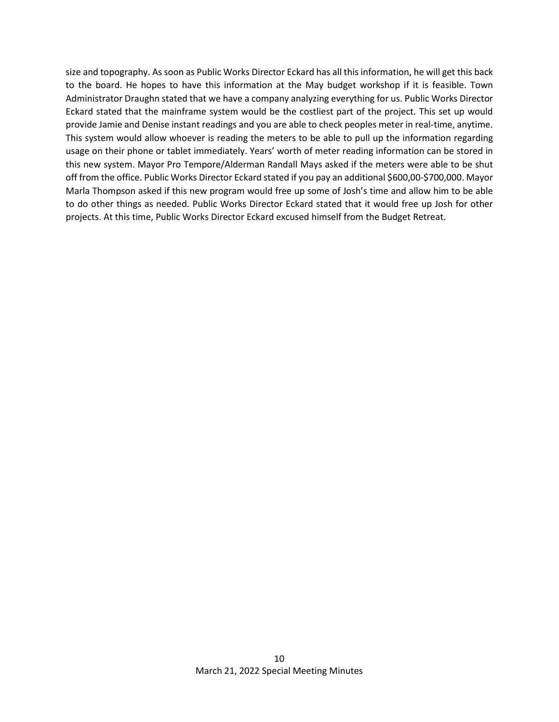size and topography. As soon as Public Works Director Eckard has all this information, he will get this back to the board. He hopes to have this information at the May budget workshop if it is feasible. Town Administrator Draughn stated that we have a company analyzing everything for us. Public Works Director Eckard stated that the mainframe system would be the costliest part of the project. This set up would provide Jamie and Denise instant readings and you are able to check peoples meter in real-time, anytime. This system would allow whoever is reading the meters to be able to pull up the information regarding usage on their phone or tablet immediately. Years' worth of meter reading information can be stored in this new system. Mayor Pro Tempore/Alderman Randall Mays asked if the meters were able to be shut off from the office. Public Works Director Eckard stated if you pay an additional \$600,00-\$700,000. Mayor Marla Thompson asked if this new program would free up some of Josh's time and allow him to be able to do other things as needed. Public Works Director Eckard stated that it would free up Josh for other projects. At this time, Public Works Director Eckard excused himself from the Budget Retreat.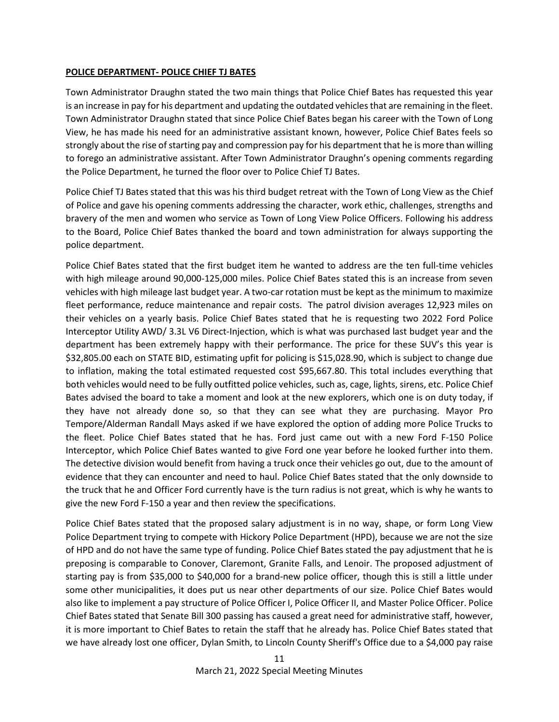#### **POLICE DEPARTMENT- POLICE CHIEF TJ BATES**

Town Administrator Draughn stated the two main things that Police Chief Bates has requested this year is an increase in pay for his department and updating the outdated vehicles that are remaining in the fleet. Town Administrator Draughn stated that since Police Chief Bates began his career with the Town of Long View, he has made his need for an administrative assistant known, however, Police Chief Bates feels so strongly about the rise of starting pay and compression pay for his department that he is more than willing to forego an administrative assistant. After Town Administrator Draughn's opening comments regarding the Police Department, he turned the floor over to Police Chief TJ Bates.

Police Chief TJ Bates stated that this was his third budget retreat with the Town of Long View as the Chief of Police and gave his opening comments addressing the character, work ethic, challenges, strengths and bravery of the men and women who service as Town of Long View Police Officers. Following his address to the Board, Police Chief Bates thanked the board and town administration for always supporting the police department.

Police Chief Bates stated that the first budget item he wanted to address are the ten full-time vehicles with high mileage around 90,000-125,000 miles. Police Chief Bates stated this is an increase from seven vehicles with high mileage last budget year. A two-car rotation must be kept as the minimum to maximize fleet performance, reduce maintenance and repair costs. The patrol division averages 12,923 miles on their vehicles on a yearly basis. Police Chief Bates stated that he is requesting two 2022 Ford Police Interceptor Utility AWD/ 3.3L V6 Direct-Injection, which is what was purchased last budget year and the department has been extremely happy with their performance. The price for these SUV's this year is \$32,805.00 each on STATE BID, estimating upfit for policing is \$15,028.90, which is subject to change due to inflation, making the total estimated requested cost \$95,667.80. This total includes everything that both vehicles would need to be fully outfitted police vehicles, such as, cage, lights, sirens, etc. Police Chief Bates advised the board to take a moment and look at the new explorers, which one is on duty today, if they have not already done so, so that they can see what they are purchasing. Mayor Pro Tempore/Alderman Randall Mays asked if we have explored the option of adding more Police Trucks to the fleet. Police Chief Bates stated that he has. Ford just came out with a new Ford F-150 Police Interceptor, which Police Chief Bates wanted to give Ford one year before he looked further into them. The detective division would benefit from having a truck once their vehicles go out, due to the amount of evidence that they can encounter and need to haul. Police Chief Bates stated that the only downside to the truck that he and Officer Ford currently have is the turn radius is not great, which is why he wants to give the new Ford F-150 a year and then review the specifications.

Police Chief Bates stated that the proposed salary adjustment is in no way, shape, or form Long View Police Department trying to compete with Hickory Police Department (HPD), because we are not the size of HPD and do not have the same type of funding. Police Chief Bates stated the pay adjustment that he is preposing is comparable to Conover, Claremont, Granite Falls, and Lenoir. The proposed adjustment of starting pay is from \$35,000 to \$40,000 for a brand-new police officer, though this is still a little under some other municipalities, it does put us near other departments of our size. Police Chief Bates would also like to implement a pay structure of Police Officer I, Police Officer II, and Master Police Officer. Police Chief Bates stated that Senate Bill 300 passing has caused a great need for administrative staff, however, it is more important to Chief Bates to retain the staff that he already has. Police Chief Bates stated that we have already lost one officer, Dylan Smith, to Lincoln County Sheriff's Office due to a \$4,000 pay raise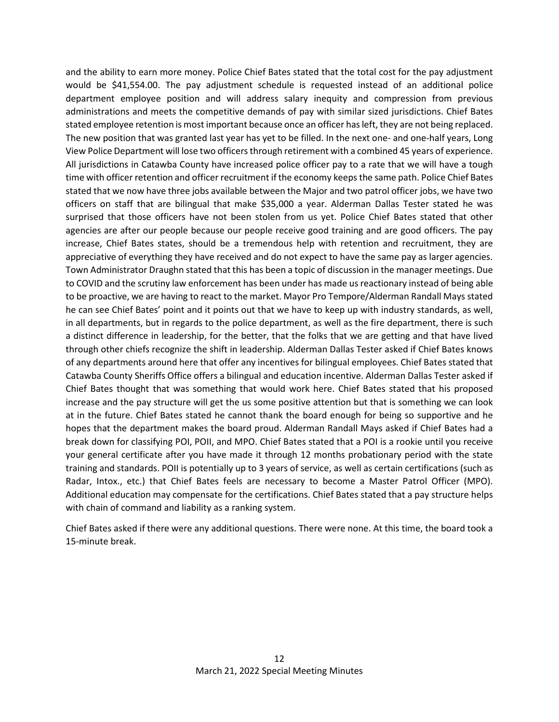and the ability to earn more money. Police Chief Bates stated that the total cost for the pay adjustment would be \$41,554.00. The pay adjustment schedule is requested instead of an additional police department employee position and will address salary inequity and compression from previous administrations and meets the competitive demands of pay with similar sized jurisdictions. Chief Bates stated employee retention is most important because once an officer has left, they are not being replaced. The new position that was granted last year has yet to be filled. In the next one- and one-half years, Long View Police Department will lose two officers through retirement with a combined 45 years of experience. All jurisdictions in Catawba County have increased police officer pay to a rate that we will have a tough time with officer retention and officer recruitment if the economy keeps the same path. Police Chief Bates stated that we now have three jobs available between the Major and two patrol officer jobs, we have two officers on staff that are bilingual that make \$35,000 a year. Alderman Dallas Tester stated he was surprised that those officers have not been stolen from us yet. Police Chief Bates stated that other agencies are after our people because our people receive good training and are good officers. The pay increase, Chief Bates states, should be a tremendous help with retention and recruitment, they are appreciative of everything they have received and do not expect to have the same pay as larger agencies. Town Administrator Draughn stated that this has been a topic of discussion in the manager meetings. Due to COVID and the scrutiny law enforcement has been under has made us reactionary instead of being able to be proactive, we are having to react to the market. Mayor Pro Tempore/Alderman Randall Mays stated he can see Chief Bates' point and it points out that we have to keep up with industry standards, as well, in all departments, but in regards to the police department, as well as the fire department, there is such a distinct difference in leadership, for the better, that the folks that we are getting and that have lived through other chiefs recognize the shift in leadership. Alderman Dallas Tester asked if Chief Bates knows of any departments around here that offer any incentives for bilingual employees. Chief Bates stated that Catawba County Sheriffs Office offers a bilingual and education incentive. Alderman Dallas Tester asked if Chief Bates thought that was something that would work here. Chief Bates stated that his proposed increase and the pay structure will get the us some positive attention but that is something we can look at in the future. Chief Bates stated he cannot thank the board enough for being so supportive and he hopes that the department makes the board proud. Alderman Randall Mays asked if Chief Bates had a break down for classifying POI, POII, and MPO. Chief Bates stated that a POI is a rookie until you receive your general certificate after you have made it through 12 months probationary period with the state training and standards. POII is potentially up to 3 years of service, as well as certain certifications (such as Radar, Intox., etc.) that Chief Bates feels are necessary to become a Master Patrol Officer (MPO). Additional education may compensate for the certifications. Chief Bates stated that a pay structure helps with chain of command and liability as a ranking system.

Chief Bates asked if there were any additional questions. There were none. At this time, the board took a 15-minute break.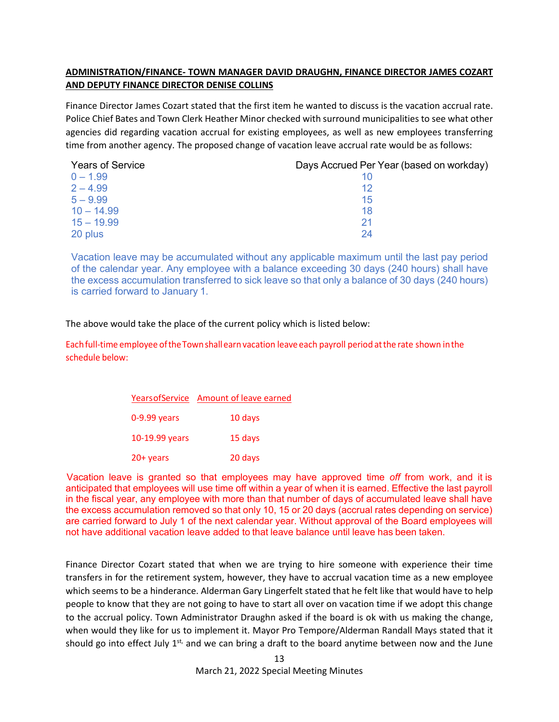# **ADMINISTRATION/FINANCE- TOWN MANAGER DAVID DRAUGHN, FINANCE DIRECTOR JAMES COZART AND DEPUTY FINANCE DIRECTOR DENISE COLLINS**

Finance Director James Cozart stated that the first item he wanted to discuss is the vacation accrual rate. Police Chief Bates and Town Clerk Heather Minor checked with surround municipalities to see what other agencies did regarding vacation accrual for existing employees, as well as new employees transferring time from another agency. The proposed change of vacation leave accrual rate would be as follows:

| <b>Years of Service</b> | Days Accrued Per Year (based on workday) |
|-------------------------|------------------------------------------|
| $0 - 1.99$              |                                          |
| $2 - 4.99$              | 12                                       |
| $5 - 9.99$              | 15                                       |
| $10 - 14.99$            | 18                                       |
| $15 - 19.99$            | -21                                      |
| 20 plus                 | 24                                       |

Vacation leave may be accumulated without any applicable maximum until the last pay period of the calendar year. Any employee with a balance exceeding 30 days (240 hours) shall have the excess accumulation transferred to sick leave so that only a balance of 30 days (240 hours) is carried forward to January 1.

The above would take the place of the current policy which is listed below:

Eachfull-time employee oftheTownshallearn vacation leave each payroll period atthe rate shown inthe schedule below:

|                | Years of Service Amount of leave earned |
|----------------|-----------------------------------------|
| $0-9.99$ years | 10 days                                 |
| 10-19.99 years | 15 days                                 |
| $20+$ years    | 20 days                                 |

Vacation leave is granted so that employees may have approved time *off* from work, and it is anticipated that employees will use time off within a year of when it is earned. Effective the last payroll in the fiscal year, any employee with more than that number of days of accumulated leave shall have the excess accumulation removed so that only 10, 15 or 20 days (accrual rates depending on service) are carried forward to July 1 of the next calendar year. Without approval of the Board employees will not have additional vacation leave added to that leave balance until leave has been taken.

Finance Director Cozart stated that when we are trying to hire someone with experience their time transfers in for the retirement system, however, they have to accrual vacation time as a new employee which seems to be a hinderance. Alderman Gary Lingerfelt stated that he felt like that would have to help people to know that they are not going to have to start all over on vacation time if we adopt this change to the accrual policy. Town Administrator Draughn asked if the board is ok with us making the change, when would they like for us to implement it. Mayor Pro Tempore/Alderman Randall Mays stated that it should go into effect July  $1^{st}$ , and we can bring a draft to the board anytime between now and the June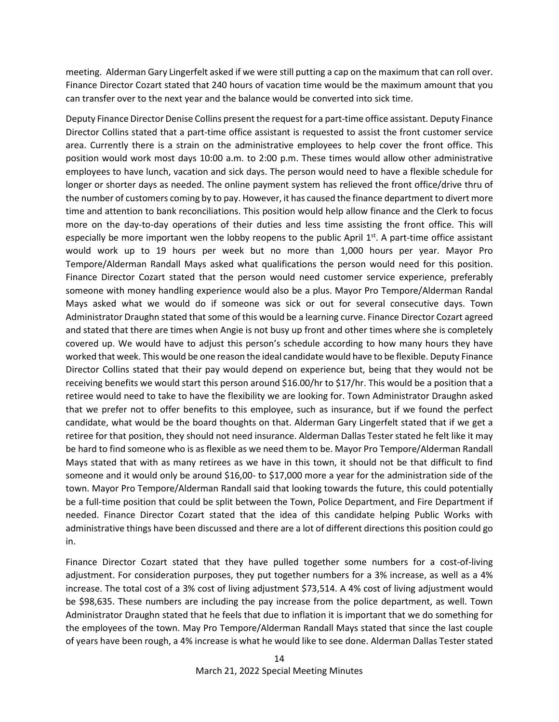meeting. Alderman Gary Lingerfelt asked if we were still putting a cap on the maximum that can roll over. Finance Director Cozart stated that 240 hours of vacation time would be the maximum amount that you can transfer over to the next year and the balance would be converted into sick time.

Deputy Finance Director Denise Collins present the request for a part-time office assistant. Deputy Finance Director Collins stated that a part-time office assistant is requested to assist the front customer service area. Currently there is a strain on the administrative employees to help cover the front office. This position would work most days 10:00 a.m. to 2:00 p.m. These times would allow other administrative employees to have lunch, vacation and sick days. The person would need to have a flexible schedule for longer or shorter days as needed. The online payment system has relieved the front office/drive thru of the number of customers coming by to pay. However, it has caused the finance department to divert more time and attention to bank reconciliations. This position would help allow finance and the Clerk to focus more on the day-to-day operations of their duties and less time assisting the front office. This will especially be more important wen the lobby reopens to the public April  $1<sup>st</sup>$ . A part-time office assistant would work up to 19 hours per week but no more than 1,000 hours per year. Mayor Pro Tempore/Alderman Randall Mays asked what qualifications the person would need for this position. Finance Director Cozart stated that the person would need customer service experience, preferably someone with money handling experience would also be a plus. Mayor Pro Tempore/Alderman Randal Mays asked what we would do if someone was sick or out for several consecutive days. Town Administrator Draughn stated that some of this would be a learning curve. Finance Director Cozart agreed and stated that there are times when Angie is not busy up front and other times where she is completely covered up. We would have to adjust this person's schedule according to how many hours they have worked that week. This would be one reason the ideal candidate would have to be flexible. Deputy Finance Director Collins stated that their pay would depend on experience but, being that they would not be receiving benefits we would start this person around \$16.00/hr to \$17/hr. This would be a position that a retiree would need to take to have the flexibility we are looking for. Town Administrator Draughn asked that we prefer not to offer benefits to this employee, such as insurance, but if we found the perfect candidate, what would be the board thoughts on that. Alderman Gary Lingerfelt stated that if we get a retiree for that position, they should not need insurance. Alderman Dallas Tester stated he felt like it may be hard to find someone who is as flexible as we need them to be. Mayor Pro Tempore/Alderman Randall Mays stated that with as many retirees as we have in this town, it should not be that difficult to find someone and it would only be around \$16,00- to \$17,000 more a year for the administration side of the town. Mayor Pro Tempore/Alderman Randall said that looking towards the future, this could potentially be a full-time position that could be split between the Town, Police Department, and Fire Department if needed. Finance Director Cozart stated that the idea of this candidate helping Public Works with administrative things have been discussed and there are a lot of different directions this position could go in.

Finance Director Cozart stated that they have pulled together some numbers for a cost-of-living adjustment. For consideration purposes, they put together numbers for a 3% increase, as well as a 4% increase. The total cost of a 3% cost of living adjustment \$73,514. A 4% cost of living adjustment would be \$98,635. These numbers are including the pay increase from the police department, as well. Town Administrator Draughn stated that he feels that due to inflation it is important that we do something for the employees of the town. May Pro Tempore/Alderman Randall Mays stated that since the last couple of years have been rough, a 4% increase is what he would like to see done. Alderman Dallas Tester stated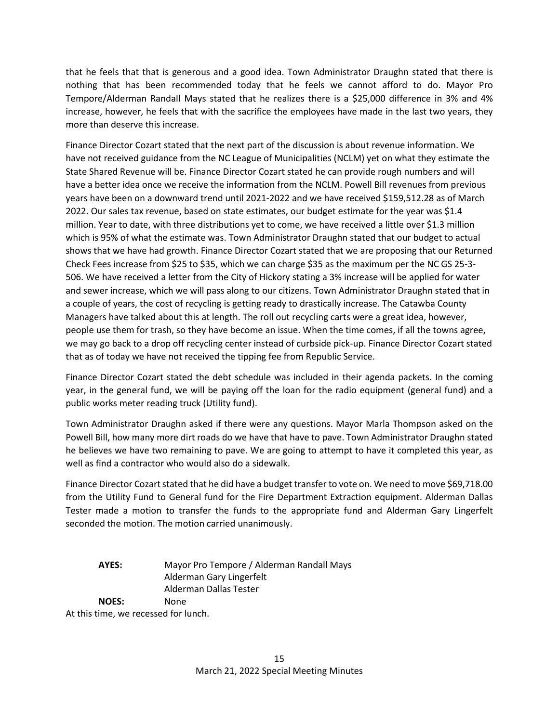that he feels that that is generous and a good idea. Town Administrator Draughn stated that there is nothing that has been recommended today that he feels we cannot afford to do. Mayor Pro Tempore/Alderman Randall Mays stated that he realizes there is a \$25,000 difference in 3% and 4% increase, however, he feels that with the sacrifice the employees have made in the last two years, they more than deserve this increase.

Finance Director Cozart stated that the next part of the discussion is about revenue information. We have not received guidance from the NC League of Municipalities (NCLM) yet on what they estimate the State Shared Revenue will be. Finance Director Cozart stated he can provide rough numbers and will have a better idea once we receive the information from the NCLM. Powell Bill revenues from previous years have been on a downward trend until 2021-2022 and we have received \$159,512.28 as of March 2022. Our sales tax revenue, based on state estimates, our budget estimate for the year was \$1.4 million. Year to date, with three distributions yet to come, we have received a little over \$1.3 million which is 95% of what the estimate was. Town Administrator Draughn stated that our budget to actual shows that we have had growth. Finance Director Cozart stated that we are proposing that our Returned Check Fees increase from \$25 to \$35, which we can charge \$35 as the maximum per the NC GS 25-3- 506. We have received a letter from the City of Hickory stating a 3% increase will be applied for water and sewer increase, which we will pass along to our citizens. Town Administrator Draughn stated that in a couple of years, the cost of recycling is getting ready to drastically increase. The Catawba County Managers have talked about this at length. The roll out recycling carts were a great idea, however, people use them for trash, so they have become an issue. When the time comes, if all the towns agree, we may go back to a drop off recycling center instead of curbside pick-up. Finance Director Cozart stated that as of today we have not received the tipping fee from Republic Service.

Finance Director Cozart stated the debt schedule was included in their agenda packets. In the coming year, in the general fund, we will be paying off the loan for the radio equipment (general fund) and a public works meter reading truck (Utility fund).

Town Administrator Draughn asked if there were any questions. Mayor Marla Thompson asked on the Powell Bill, how many more dirt roads do we have that have to pave. Town Administrator Draughn stated he believes we have two remaining to pave. We are going to attempt to have it completed this year, as well as find a contractor who would also do a sidewalk.

Finance Director Cozart stated that he did have a budget transfer to vote on. We need to move \$69,718.00 from the Utility Fund to General fund for the Fire Department Extraction equipment. Alderman Dallas Tester made a motion to transfer the funds to the appropriate fund and Alderman Gary Lingerfelt seconded the motion. The motion carried unanimously.

**AYES:** Mayor Pro Tempore / Alderman Randall Mays Alderman Gary Lingerfelt Alderman Dallas Tester **NOES:** None At this time, we recessed for lunch.